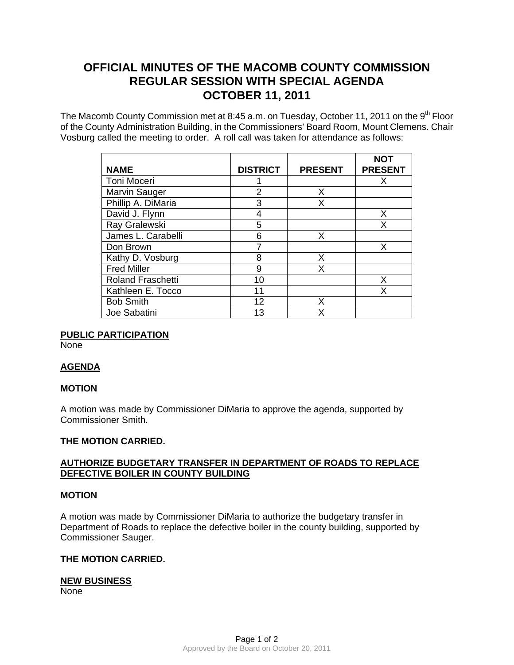# **OFFICIAL MINUTES OF THE MACOMB COUNTY COMMISSION REGULAR SESSION WITH SPECIAL AGENDA OCTOBER 11, 2011**

The Macomb County Commission met at 8:45 a.m. on Tuesday, October 11, 2011 on the 9<sup>th</sup> Floor of the County Administration Building, in the Commissioners' Board Room, Mount Clemens. Chair Vosburg called the meeting to order. A roll call was taken for attendance as follows:

| <b>NAME</b>              | <b>DISTRICT</b> | <b>PRESENT</b> | <b>NOT</b><br><b>PRESENT</b> |
|--------------------------|-----------------|----------------|------------------------------|
|                          |                 |                |                              |
| Toni Moceri              |                 |                | X                            |
| Marvin Sauger            | 2               | X              |                              |
| Phillip A. DiMaria       | 3               | X              |                              |
| David J. Flynn           |                 |                | X                            |
| Ray Gralewski            | 5               |                | X                            |
| James L. Carabelli       | 6               | x              |                              |
| Don Brown                |                 |                | X                            |
| Kathy D. Vosburg         | 8               | Х              |                              |
| <b>Fred Miller</b>       | 9               | Χ              |                              |
| <b>Roland Fraschetti</b> | 10              |                | Х                            |
| Kathleen E. Tocco        | 11              |                | Χ                            |
| <b>Bob Smith</b>         | 12              | х              |                              |
| Joe Sabatini             | 13              | x              |                              |

# **PUBLIC PARTICIPATION**

**None** 

# **AGENDA**

#### **MOTION**

A motion was made by Commissioner DiMaria to approve the agenda, supported by Commissioner Smith.

#### **THE MOTION CARRIED.**

## **AUTHORIZE BUDGETARY TRANSFER IN DEPARTMENT OF ROADS TO REPLACE DEFECTIVE BOILER IN COUNTY BUILDING**

## **MOTION**

A motion was made by Commissioner DiMaria to authorize the budgetary transfer in Department of Roads to replace the defective boiler in the county building, supported by Commissioner Sauger.

#### **THE MOTION CARRIED.**

#### **NEW BUSINESS**

None